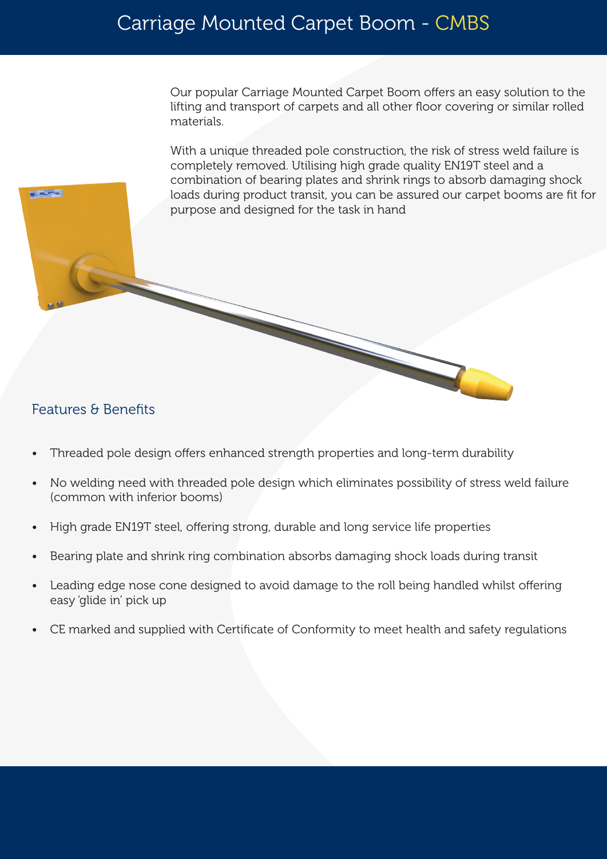Our popular Carriage Mounted Carpet Boom offers an easy solution to the lifting and transport of carpets and all other floor covering or similar rolled materials.

With a unique threaded pole construction, the risk of stress weld failure is completely removed. Utilising high grade quality EN19T steel and a combination of bearing plates and shrink rings to absorb damaging shock loads during product transit, you can be assured our carpet booms are fit for purpose and designed for the task in hand

## Features & Benefits

**PATRICK** 

- Threaded pole design offers enhanced strength properties and long-term durability
- No welding need with threaded pole design which eliminates possibility of stress weld failure (common with inferior booms)
- High grade EN19T steel, offering strong, durable and long service life properties
- Bearing plate and shrink ring combination absorbs damaging shock loads during transit
- Leading edge nose cone designed to avoid damage to the roll being handled whilst offering easy 'glide in' pick up
- CE marked and supplied with Certificate of Conformity to meet health and safety regulations